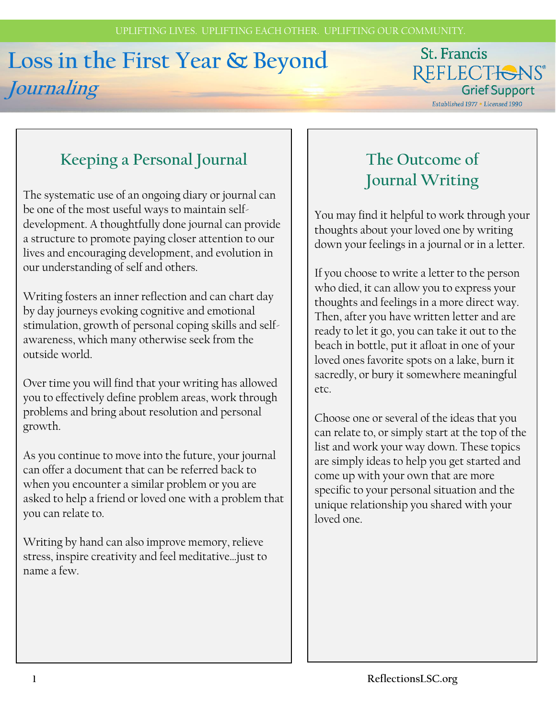# **Loss in the First Year & Beyond Journaling**

### St. Francis REFLECTIONS® **Grief Support**

Established 1977 . Licensed 1990

## **Keeping a Personal Journal**

The systematic use of an ongoing diary or journal can be one of the most useful ways to maintain selfdevelopment. A thoughtfully done journal can provide a structure to promote paying closer attention to our lives and encouraging development, and evolution in our understanding of self and others.

Writing fosters an inner reflection and can chart day by day journeys evoking cognitive and emotional stimulation, growth of personal coping skills and selfawareness, which many otherwise seek from the outside world.

Over time you will find that your writing has allowed you to effectively define problem areas, work through problems and bring about resolution and personal growth.

As you continue to move into the future, your journal can offer a document that can be referred back to when you encounter a similar problem or you are asked to help a friend or loved one with a problem that you can relate to.

Writing by hand can also improve memory, relieve stress, inspire creativity and feel meditative…just to name a few.

### **The Outcome of Journal Writing**

You may find it helpful to work through your thoughts about your loved one by writing down your feelings in a journal or in a letter.

If you choose to write a letter to the person who died, it can allow you to express your thoughts and feelings in a more direct way. Then, after you have written letter and are ready to let it go, you can take it out to the beach in bottle, put it afloat in one of your loved ones favorite spots on a lake, burn it sacredly, or bury it somewhere meaningful etc.

Choose one or several of the ideas that you can relate to, or simply start at the top of the list and work your way down. These topics are simply ideas to help you get started and come up with your own that are more specific to your personal situation and the unique relationship you shared with your loved one.